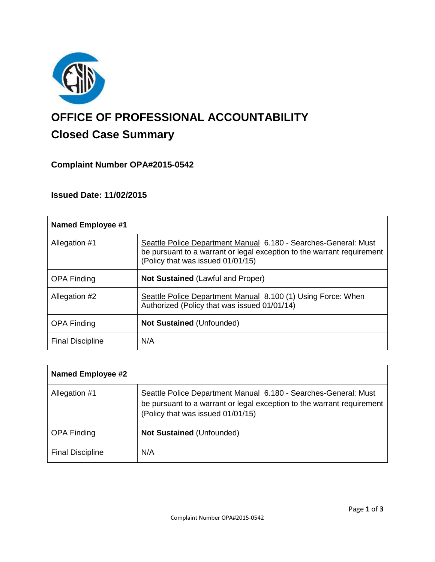

# **OFFICE OF PROFESSIONAL ACCOUNTABILITY Closed Case Summary**

# **Complaint Number OPA#2015-0542**

# **Issued Date: 11/02/2015**

| <b>Named Employee #1</b> |                                                                                                                                                                                |
|--------------------------|--------------------------------------------------------------------------------------------------------------------------------------------------------------------------------|
| Allegation #1            | Seattle Police Department Manual 6.180 - Searches-General: Must<br>be pursuant to a warrant or legal exception to the warrant requirement<br>(Policy that was issued 01/01/15) |
| <b>OPA Finding</b>       | <b>Not Sustained (Lawful and Proper)</b>                                                                                                                                       |
| Allegation #2            | Seattle Police Department Manual 8.100 (1) Using Force: When<br>Authorized (Policy that was issued 01/01/14)                                                                   |
| <b>OPA Finding</b>       | <b>Not Sustained (Unfounded)</b>                                                                                                                                               |
| <b>Final Discipline</b>  | N/A                                                                                                                                                                            |

| <b>Named Employee #2</b> |                                                                                                                                                                                |
|--------------------------|--------------------------------------------------------------------------------------------------------------------------------------------------------------------------------|
| Allegation #1            | Seattle Police Department Manual 6.180 - Searches-General: Must<br>be pursuant to a warrant or legal exception to the warrant requirement<br>(Policy that was issued 01/01/15) |
| <b>OPA Finding</b>       | <b>Not Sustained (Unfounded)</b>                                                                                                                                               |
| <b>Final Discipline</b>  | N/A                                                                                                                                                                            |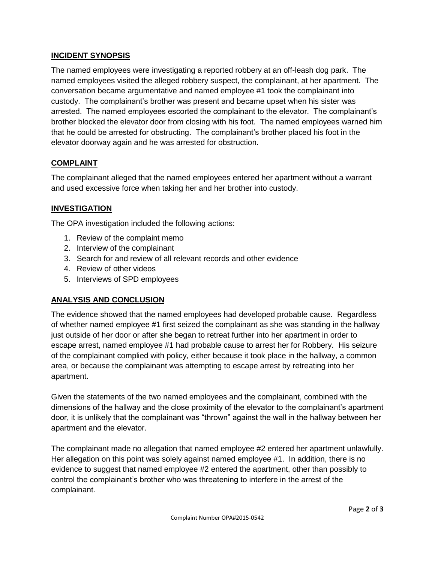# **INCIDENT SYNOPSIS**

The named employees were investigating a reported robbery at an off-leash dog park. The named employees visited the alleged robbery suspect, the complainant, at her apartment. The conversation became argumentative and named employee #1 took the complainant into custody. The complainant's brother was present and became upset when his sister was arrested. The named employees escorted the complainant to the elevator. The complainant's brother blocked the elevator door from closing with his foot. The named employees warned him that he could be arrested for obstructing. The complainant's brother placed his foot in the elevator doorway again and he was arrested for obstruction.

## **COMPLAINT**

The complainant alleged that the named employees entered her apartment without a warrant and used excessive force when taking her and her brother into custody.

## **INVESTIGATION**

The OPA investigation included the following actions:

- 1. Review of the complaint memo
- 2. Interview of the complainant
- 3. Search for and review of all relevant records and other evidence
- 4. Review of other videos
- 5. Interviews of SPD employees

#### **ANALYSIS AND CONCLUSION**

The evidence showed that the named employees had developed probable cause. Regardless of whether named employee #1 first seized the complainant as she was standing in the hallway just outside of her door or after she began to retreat further into her apartment in order to escape arrest, named employee #1 had probable cause to arrest her for Robbery. His seizure of the complainant complied with policy, either because it took place in the hallway, a common area, or because the complainant was attempting to escape arrest by retreating into her apartment.

Given the statements of the two named employees and the complainant, combined with the dimensions of the hallway and the close proximity of the elevator to the complainant's apartment door, it is unlikely that the complainant was "thrown" against the wall in the hallway between her apartment and the elevator.

The complainant made no allegation that named employee #2 entered her apartment unlawfully. Her allegation on this point was solely against named employee #1. In addition, there is no evidence to suggest that named employee #2 entered the apartment, other than possibly to control the complainant's brother who was threatening to interfere in the arrest of the complainant.